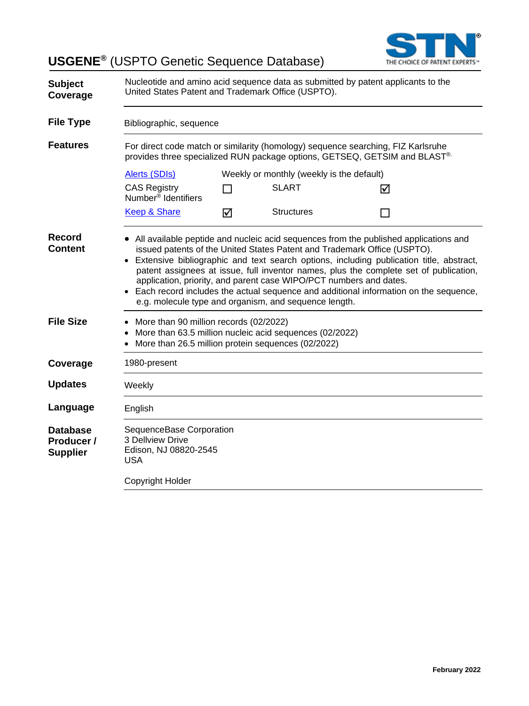**USGENE®** (USPTO Genetic Sequence Database)



| <b>Subject</b><br>Coverage                       | Nucleotide and amino acid sequence data as submitted by patent applicants to the<br>United States Patent and Trademark Office (USPTO).                                                                                                                                                                                                                                                                                                                                                                                                                                            |        |                                           |   |  |
|--------------------------------------------------|-----------------------------------------------------------------------------------------------------------------------------------------------------------------------------------------------------------------------------------------------------------------------------------------------------------------------------------------------------------------------------------------------------------------------------------------------------------------------------------------------------------------------------------------------------------------------------------|--------|-------------------------------------------|---|--|
| <b>File Type</b>                                 | Bibliographic, sequence                                                                                                                                                                                                                                                                                                                                                                                                                                                                                                                                                           |        |                                           |   |  |
| <b>Features</b>                                  | For direct code match or similarity (homology) sequence searching, FIZ Karlsruhe<br>provides three specialized RUN package options, GETSEQ, GETSIM and BLAST®.                                                                                                                                                                                                                                                                                                                                                                                                                    |        |                                           |   |  |
|                                                  | Alerts (SDIs)                                                                                                                                                                                                                                                                                                                                                                                                                                                                                                                                                                     |        | Weekly or monthly (weekly is the default) |   |  |
|                                                  | <b>CAS Registry</b><br>Number <sup>®</sup> Identifiers                                                                                                                                                                                                                                                                                                                                                                                                                                                                                                                            | $\Box$ | <b>SLART</b>                              | ☑ |  |
|                                                  | Keep & Share                                                                                                                                                                                                                                                                                                                                                                                                                                                                                                                                                                      | ☑      | <b>Structures</b>                         |   |  |
| <b>Record</b><br><b>Content</b>                  | • All available peptide and nucleic acid sequences from the published applications and<br>issued patents of the United States Patent and Trademark Office (USPTO).<br>• Extensive bibliographic and text search options, including publication title, abstract,<br>patent assignees at issue, full inventor names, plus the complete set of publication,<br>application, priority, and parent case WIPO/PCT numbers and dates.<br>• Each record includes the actual sequence and additional information on the sequence,<br>e.g. molecule type and organism, and sequence length. |        |                                           |   |  |
| <b>File Size</b>                                 | • More than 90 million records (02/2022)<br>More than 63.5 million nucleic acid sequences (02/2022)<br>More than 26.5 million protein sequences (02/2022)                                                                                                                                                                                                                                                                                                                                                                                                                         |        |                                           |   |  |
| Coverage                                         | 1980-present                                                                                                                                                                                                                                                                                                                                                                                                                                                                                                                                                                      |        |                                           |   |  |
| <b>Updates</b>                                   | Weekly                                                                                                                                                                                                                                                                                                                                                                                                                                                                                                                                                                            |        |                                           |   |  |
| Language                                         | English                                                                                                                                                                                                                                                                                                                                                                                                                                                                                                                                                                           |        |                                           |   |  |
| <b>Database</b><br>Producer /<br><b>Supplier</b> | SequenceBase Corporation<br>3 Dellview Drive<br>Edison, NJ 08820-2545<br><b>USA</b>                                                                                                                                                                                                                                                                                                                                                                                                                                                                                               |        |                                           |   |  |
|                                                  | Copyright Holder                                                                                                                                                                                                                                                                                                                                                                                                                                                                                                                                                                  |        |                                           |   |  |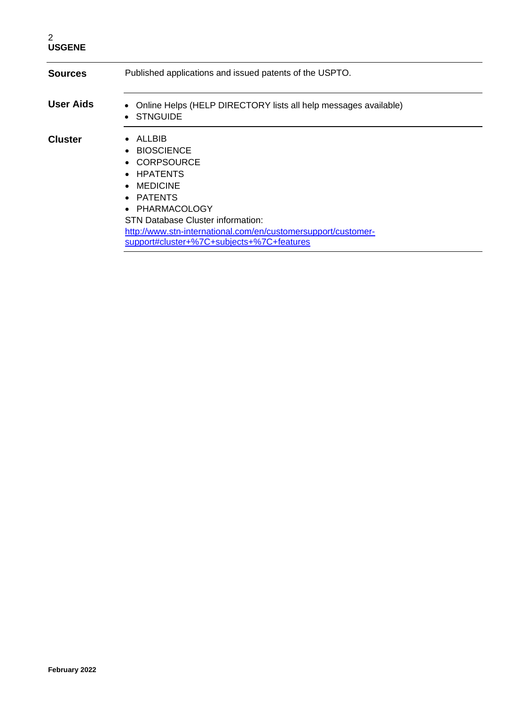| <b>Sources</b> | Published applications and issued patents of the USPTO.                                                                                                                                                                                                                       |  |
|----------------|-------------------------------------------------------------------------------------------------------------------------------------------------------------------------------------------------------------------------------------------------------------------------------|--|
| User Aids      | Online Helps (HELP DIRECTORY lists all help messages available)<br>• STNGUIDE                                                                                                                                                                                                 |  |
| <b>Cluster</b> | $\bullet$ ALLBIB<br>• BIOSCIENCE<br>• CORPSOURCE<br>• HPATENTS<br>$\bullet$ MEDICINE<br>• PATENTS<br>• PHARMACOLOGY<br><b>STN Database Cluster information:</b><br>http://www.stn-international.com/en/customersupport/customer-<br>support#cluster+%7C+subjects+%7C+features |  |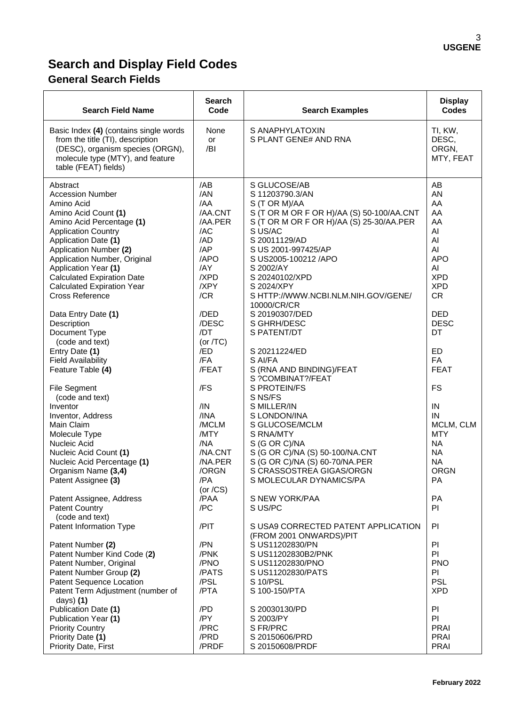# **Search and Display Field Codes**

# **General Search Fields**

| <b>Search Field Name</b>                                                                                                                                                                                                                                                                                                                                                                                                                                                                  | <b>Search</b><br>Code                                                                                                                                            | <b>Search Examples</b>                                                                                                                                                                                                                                                                                                                                                                                                           | <b>Display</b><br><b>Codes</b>                                                                                                                                                 |
|-------------------------------------------------------------------------------------------------------------------------------------------------------------------------------------------------------------------------------------------------------------------------------------------------------------------------------------------------------------------------------------------------------------------------------------------------------------------------------------------|------------------------------------------------------------------------------------------------------------------------------------------------------------------|----------------------------------------------------------------------------------------------------------------------------------------------------------------------------------------------------------------------------------------------------------------------------------------------------------------------------------------------------------------------------------------------------------------------------------|--------------------------------------------------------------------------------------------------------------------------------------------------------------------------------|
| Basic Index (4) (contains single words<br>from the title (TI), description<br>(DESC), organism species (ORGN),<br>molecule type (MTY), and feature<br>table (FEAT) fields)                                                                                                                                                                                                                                                                                                                | None<br><b>or</b><br>/BI                                                                                                                                         | S ANAPHYLATOXIN<br>S PLANT GENE# AND RNA                                                                                                                                                                                                                                                                                                                                                                                         | TI, KW,<br>DESC,<br>ORGN,<br>MTY, FEAT                                                                                                                                         |
| Abstract<br><b>Accession Number</b><br>Amino Acid<br>Amino Acid Count (1)<br>Amino Acid Percentage (1)<br><b>Application Country</b><br>Application Date (1)<br>Application Number (2)<br>Application Number, Original<br>Application Year (1)<br><b>Calculated Expiration Date</b><br><b>Calculated Expiration Year</b><br>Cross Reference<br>Data Entry Date (1)<br>Description<br>Document Type<br>(code and text)<br>Entry Date (1)<br><b>Field Availability</b><br>Feature Table (4) | /AB<br>/AN<br>/AA<br>/AA.CNT<br>/AA.PER<br>/AC<br>/AD<br>/AP<br>/APO<br>/AY<br>/XPD<br>/XPY<br>/CR<br>/DED<br>/DESC<br>/DT<br>(or $/TC$ )<br>/ED<br>/FA<br>/FEAT | S GLUCOSE/AB<br>S 11203790.3/AN<br>S (T OR M)/AA<br>S (T OR M OR F OR H)/AA (S) 50-100/AA.CNT<br>S (T OR M OR F OR H)/AA (S) 25-30/AA.PER<br>S US/AC<br>S 20011129/AD<br>S US 2001-997425/AP<br>S US2005-100212 / APO<br>S 2002/AY<br>S 20240102/XPD<br>S 2024/XPY<br>S HTTP://WWW.NCBI.NLM.NIH.GOV/GENE/<br>10000/CR/CR<br>S 20190307/DED<br>S GHRH/DESC<br>S PATENT/DT<br>S 20211224/ED<br>S AI/FA<br>S (RNA AND BINDING)/FEAT | AB<br>AN<br>AA<br>AA<br>AA<br>AI<br>AI<br>AI<br><b>APO</b><br>AI<br><b>XPD</b><br><b>XPD</b><br><b>CR</b><br><b>DED</b><br><b>DESC</b><br>DT<br>ED<br><b>FA</b><br><b>FEAT</b> |
| <b>File Segment</b><br>(code and text)<br>Inventor<br>Inventor, Address<br>Main Claim<br>Molecule Type<br>Nucleic Acid<br>Nucleic Acid Count (1)<br>Nucleic Acid Percentage (1)<br>Organism Name (3,4)<br>Patent Assignee (3)<br>Patent Assignee, Address<br><b>Patent Country</b><br>(code and text)<br>Patent Information Type                                                                                                                                                          | /FS<br>/IN<br>/INA<br>/MCLM<br>/MTY<br>/NA<br>/NA.CNT<br>/NA.PER<br>/ORGN<br>/PA<br>(or $/CS$ )<br>/PAA<br>/PC<br>/PIT                                           | S ?COMBINAT?/FEAT<br><b>S PROTEIN/FS</b><br>S NS/FS<br>S MILLER/IN<br>S LONDON/INA<br>S GLUCOSE/MCLM<br>S RNA/MTY<br>S (G OR C)/NA<br>S (G OR C)/NA (S) 50-100/NA.CNT<br>S (G OR C)/NA (S) 60-70/NA.PER<br>S CRASSOSTREA GIGAS/ORGN<br>S MOLECULAR DYNAMICS/PA<br>S NEW YORK/PAA<br>S US/PC<br>S USA9 CORRECTED PATENT APPLICATION                                                                                               | <b>FS</b><br>IN<br>IN<br>MCLM, CLM<br><b>MTY</b><br><b>NA</b><br><b>NA</b><br><b>NA</b><br><b>ORGN</b><br><b>PA</b><br>PA<br>PI<br>PI                                          |
| Patent Number (2)<br>Patent Number Kind Code (2)<br>Patent Number, Original<br>Patent Number Group (2)<br>Patent Sequence Location<br>Patent Term Adjustment (number of<br>days) $(1)$<br>Publication Date (1)<br>Publication Year (1)<br><b>Priority Country</b><br>Priority Date (1)<br>Priority Date, First                                                                                                                                                                            | /PN<br>/PNK<br>/PNO<br>/PATS<br>/PSL<br>/PTA<br>/PD<br>/PY<br>/PRC<br>/PRD<br>/PRDF                                                                              | (FROM 2001 ONWARDS)/PIT<br>S US11202830/PN<br>S US11202830B2/PNK<br>S US11202830/PNO<br>S US11202830/PATS<br>S 10/PSL<br>S 100-150/PTA<br>S 20030130/PD<br>S 2003/PY<br>S FR/PRC<br>S 20150606/PRD<br>S 20150608/PRDF                                                                                                                                                                                                            | PI<br>PI.<br><b>PNO</b><br>PI.<br>PSL<br><b>XPD</b><br>PI<br>PI.<br><b>PRAI</b><br><b>PRAI</b><br><b>PRAI</b>                                                                  |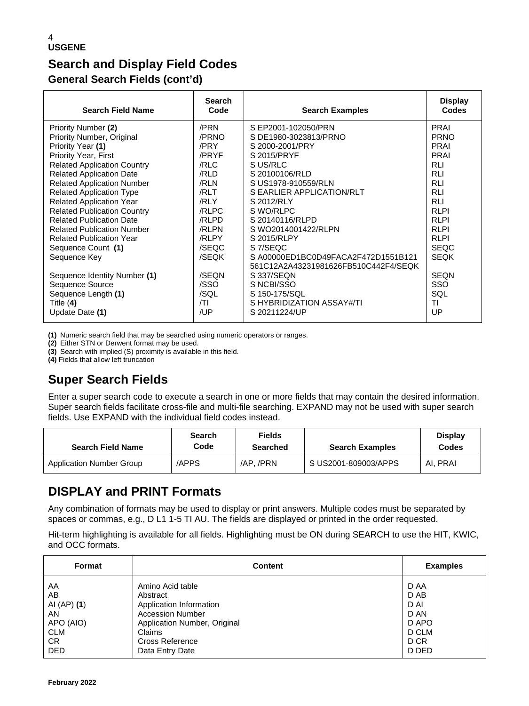# **Search and Display Field Codes General Search Fields (cont'd)**

| <b>Search Field Name</b>           | <b>Search</b><br>Code | <b>Search Examples</b>                                                     | <b>Display</b><br>Codes |
|------------------------------------|-----------------------|----------------------------------------------------------------------------|-------------------------|
| Priority Number (2)                | /PRN                  | S EP2001-102050/PRN                                                        | PRAI                    |
| Priority Number, Original          | /PRNO                 | S DE1980-3023813/PRNO                                                      | <b>PRNO</b>             |
| Priority Year (1)                  | /PRY                  | S 2000-2001/PRY                                                            | <b>PRAI</b>             |
| Priority Year, First               | /PRYF                 | S 2015/PRYF                                                                | <b>PRAI</b>             |
| <b>Related Application Country</b> | /RLC                  | S US/RLC                                                                   | <b>RLI</b>              |
| <b>Related Application Date</b>    | /RLD                  | S 20100106/RLD                                                             | <b>RLI</b>              |
| <b>Related Application Number</b>  | /RLN                  | S US1978-910559/RLN                                                        | <b>RLI</b>              |
| <b>Related Application Type</b>    | /RLT                  | S EARLIER APPLICATION/RLT                                                  | <b>RLI</b>              |
| <b>Related Application Year</b>    | /RLY                  | S 2012/RLY                                                                 | <b>RLI</b>              |
| <b>Related Publication Country</b> | /RLPC                 | S WO/RLPC                                                                  | <b>RLPI</b>             |
| <b>Related Publication Date</b>    | /RLPD                 | S 20140116/RLPD                                                            | <b>RLPI</b>             |
| <b>Related Publication Number</b>  | /RLPN                 | S WO2014001422/RLPN                                                        | <b>RLPI</b>             |
| <b>Related Publication Year</b>    | /RLPY                 | S 2015/RLPY                                                                | <b>RLPI</b>             |
| Sequence Count (1)                 | /SEQC                 | S 7/SEQC                                                                   | <b>SEQC</b>             |
| Sequence Key                       | /SEQK                 | SA00000ED1BC0D49FACA2F472D1551B121<br>561C12A2A43231981626FB510C442F4/SEQK | <b>SEQK</b>             |
| Sequence Identity Number (1)       | /SEON                 | S 337/SEQN                                                                 | <b>SEQN</b>             |
| Sequence Source                    | /SSO                  | S NCBI/SSO                                                                 | <b>SSO</b>              |
| Sequence Length (1)                | /SQL                  | S 150-175/SQL                                                              | SQL                     |
| Title $(4)$                        | /TI                   | S HYBRIDIZATION ASSAY#/TI                                                  | ΤI                      |
| Update Date (1)                    | /UP                   | S 20211224/UP                                                              | UP                      |

**(1)** Numeric search field that may be searched using numeric operators or ranges.

**(2)** Either STN or Derwent format may be used.

**(3)** Search with implied (S) proximity is available in this field.

**(4)** Fields that allow left truncation

# **Super Search Fields**

Enter a super search code to execute a search in one or more fields that may contain the desired information. Super search fields facilitate cross-file and multi-file searching. EXPAND may not be used with super search fields. Use EXPAND with the individual field codes instead.

| <b>Search Field Name</b> | <b>Search</b><br>Code | <b>Fields</b><br><b>Searched</b> | <b>Search Examples</b> | <b>Display</b><br>Codes |
|--------------------------|-----------------------|----------------------------------|------------------------|-------------------------|
| Application Number Group | <b>APPS</b>           | /AP./PRN                         | S US2001-809003/APPS   | AI. PRAI                |

# **DISPLAY and PRINT Formats**

Any combination of formats may be used to display or print answers. Multiple codes must be separated by spaces or commas, e.g., D L1 1-5 TI AU. The fields are displayed or printed in the order requested.

Hit-term highlighting is available for all fields. Highlighting must be ON during SEARCH to use the HIT, KWIC, and OCC formats.

| Format      | <b>Content</b>               | <b>Examples</b> |
|-------------|------------------------------|-----------------|
| AA          | Amino Acid table             | D AA            |
| AB          | Abstract                     | D AB            |
| AI (AP) (1) | Application Information      | D AI            |
| AN          | <b>Accession Number</b>      | D AN            |
| APO (AIO)   | Application Number, Original | D APO           |
| <b>CLM</b>  | Claims                       | D CLM           |
| CR.         | <b>Cross Reference</b>       | D CR            |
| <b>DED</b>  | Data Entry Date              | D DED           |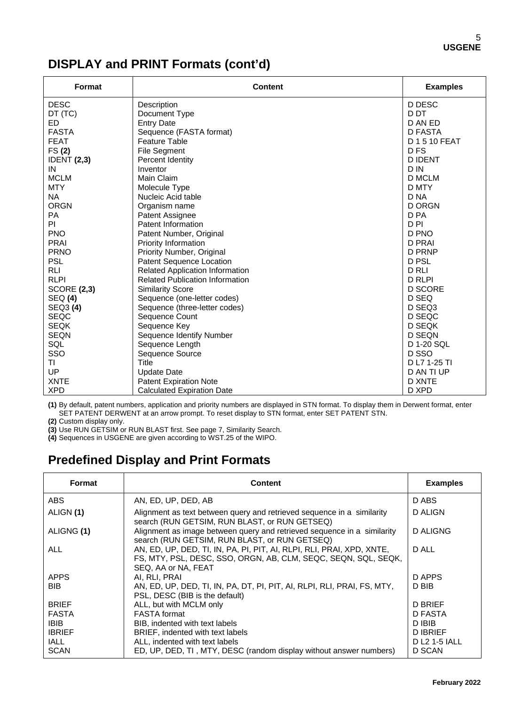# **DISPLAY and PRINT Formats (cont'd)**

| <b>Format</b>      | <b>Content</b>                                 | <b>Examples</b> |  |  |
|--------------------|------------------------------------------------|-----------------|--|--|
| <b>DESC</b>        | Description                                    | D DESC          |  |  |
| DT (TC)            | Document Type                                  | D DT            |  |  |
| ED.                | <b>Entry Date</b>                              | D AN ED         |  |  |
| <b>FASTA</b>       | Sequence (FASTA format)                        | <b>D FASTA</b>  |  |  |
| <b>FEAT</b>        | <b>Feature Table</b>                           | D 1 5 10 FEAT   |  |  |
| FS(2)              | D <sub>FS</sub><br><b>File Segment</b>         |                 |  |  |
| <b>IDENT (2,3)</b> | Percent Identity                               | <b>DIDENT</b>   |  |  |
| IN                 | Inventor                                       | D IN            |  |  |
| <b>MCLM</b>        | Main Claim                                     | <b>D MCLM</b>   |  |  |
| <b>MTY</b>         | Molecule Type                                  | D MTY           |  |  |
| <b>NA</b>          | Nucleic Acid table                             | D <sub>NA</sub> |  |  |
| <b>ORGN</b>        | Organism name                                  | <b>D ORGN</b>   |  |  |
| <b>PA</b>          | Patent Assignee                                | D PA            |  |  |
| PI                 | <b>Patent Information</b>                      | D <sub>PI</sub> |  |  |
| <b>PNO</b>         | Patent Number, Original                        | D PNO           |  |  |
| <b>PRAI</b>        | <b>D PRAI</b><br>Priority Information          |                 |  |  |
| <b>PRNO</b>        | Priority Number, Original<br><b>D PRNP</b>     |                 |  |  |
| <b>PSL</b>         | Patent Sequence Location<br>D PSL              |                 |  |  |
| <b>RLI</b>         | Related Application Information                | D RLI           |  |  |
| <b>RLPI</b>        | <b>Related Publication Information</b>         | <b>D RLPI</b>   |  |  |
| <b>SCORE (2,3)</b> | <b>D SCORE</b><br><b>Similarity Score</b>      |                 |  |  |
| SEQ (4)            | D SEQ<br>Sequence (one-letter codes)           |                 |  |  |
| SEQ3 (4)           | D SEQ3<br>Sequence (three-letter codes)        |                 |  |  |
| <b>SEQC</b>        | Sequence Count                                 | D SEQC          |  |  |
| <b>SEQK</b>        | Sequence Key<br>D SEQK                         |                 |  |  |
| <b>SEQN</b>        | Sequence Identify Number<br>D SEQN             |                 |  |  |
| SQL                | D 1-20 SQL<br>Sequence Length                  |                 |  |  |
| SSO                | D SSO<br>Sequence Source                       |                 |  |  |
| ΤI                 | Title<br>D L7 1-25 TI                          |                 |  |  |
| UP                 | <b>Update Date</b><br>D AN TI UP               |                 |  |  |
| <b>XNTE</b>        | <b>D XNTE</b><br><b>Patent Expiration Note</b> |                 |  |  |
| <b>XPD</b>         | <b>Calculated Expiration Date</b>              | D XPD           |  |  |

**(1)** By default, patent numbers, application and priority numbers are displayed in STN format. To display them in Derwent format, enter SET PATENT DERWENT at an arrow prompt. To reset display to STN format, enter SET PATENT STN.

**(2)** Custom display only.

**(3)** Use RUN GETSIM or RUN BLAST first. See page 7, Similarity Search.

**(4)** Sequences in USGENE are given according to WST.25 of the WIPO.

# **Predefined Display and Print Formats**

| <b>Format</b> | Content                                                                                                                                                        | <b>Examples</b> |
|---------------|----------------------------------------------------------------------------------------------------------------------------------------------------------------|-----------------|
| <b>ABS</b>    | AN, ED, UP, DED, AB                                                                                                                                            | D ABS           |
| ALIGN (1)     | Alignment as text between query and retrieved sequence in a similarity<br>search (RUN GETSIM, RUN BLAST, or RUN GETSEQ)                                        | D ALIGN         |
| ALIGNG (1)    | Alignment as image between query and retrieved sequence in a similarity<br>search (RUN GETSIM, RUN BLAST, or RUN GETSEQ)                                       | <b>D ALIGNG</b> |
| ALL           | AN, ED, UP, DED, TI, IN, PA, PI, PIT, AI, RLPI, RLI, PRAI, XPD, XNTE,<br>FS, MTY, PSL, DESC, SSO, ORGN, AB, CLM, SEQC, SEQN, SQL, SEQK,<br>SEQ, AA or NA, FEAT | D ALL           |
| <b>APPS</b>   | AI. RLI. PRAI                                                                                                                                                  | D APPS          |
| <b>BIB</b>    | AN, ED, UP, DED, TI, IN, PA, DT, PI, PIT, AI, RLPI, RLI, PRAI, FS, MTY,<br>PSL, DESC (BIB is the default)                                                      | D BIB           |
| <b>BRIEF</b>  | ALL, but with MCLM only                                                                                                                                        | <b>D BRIEF</b>  |
| <b>FASTA</b>  | <b>FASTA</b> format                                                                                                                                            | D FASTA         |
| IBIB.         | BIB, indented with text labels                                                                                                                                 | D IBIB          |
| <b>IBRIEF</b> | BRIEF, indented with text labels                                                                                                                               | D IBRIEF        |
| <b>IALL</b>   | ALL, indented with text labels                                                                                                                                 | D L2 1-5 IALL   |
| <b>SCAN</b>   | ED, UP, DED, TI, MTY, DESC (random display without answer numbers)                                                                                             | D SCAN          |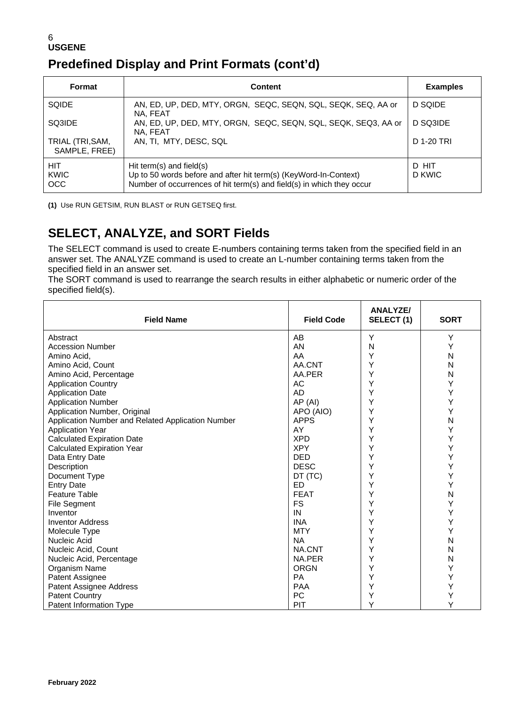## 6 **USGENE Predefined Display and Print Formats (cont'd)**

| Format                            | <b>Content</b>                                                                                                                                                        | <b>Examples</b> |
|-----------------------------------|-----------------------------------------------------------------------------------------------------------------------------------------------------------------------|-----------------|
| <b>SQIDE</b>                      | AN, ED, UP, DED, MTY, ORGN, SEQC, SEQN, SQL, SEQK, SEQ, AA or<br>NA. FEAT                                                                                             | D SQIDE         |
| SQ3IDE                            | AN, ED, UP, DED, MTY, ORGN, SEQC, SEQN, SQL, SEQK, SEQ3, AA or<br>NA. FEAT                                                                                            | D SQ3IDE        |
| TRIAL (TRI, SAM,<br>SAMPLE, FREE) | AN, TI, MTY, DESC, SQL                                                                                                                                                | D 1-20 TRI      |
| HIT<br><b>KWIC</b><br><b>OCC</b>  | Hit term(s) and field(s)<br>Up to 50 words before and after hit term(s) (KeyWord-In-Context)<br>Number of occurrences of hit term(s) and field(s) in which they occur | D HIT<br>D KWIC |

**(1)** Use RUN GETSIM, RUN BLAST or RUN GETSEQ first.

# **SELECT, ANALYZE, and SORT Fields**

The SELECT command is used to create E-numbers containing terms taken from the specified field in an answer set. The ANALYZE command is used to create an L-number containing terms taken from the specified field in an answer set.

The SORT command is used to rearrange the search results in either alphabetic or numeric order of the specified field(s).

| <b>Field Name</b>                                 | <b>Field Code</b> | <b>ANALYZE/</b><br>SELECT (1) | <b>SORT</b> |
|---------------------------------------------------|-------------------|-------------------------------|-------------|
| Abstract                                          | AB                | Y                             | Y           |
| <b>Accession Number</b>                           | AN                | N                             | Υ           |
| Amino Acid,                                       | AA                | Y                             | N           |
| Amino Acid, Count                                 | AA.CNT            | Y                             | N           |
| Amino Acid, Percentage                            | AA.PER            | Y                             | N           |
| <b>Application Country</b>                        | AC                | Υ                             | Υ           |
| <b>Application Date</b>                           | <b>AD</b>         | Y                             | Υ           |
| <b>Application Number</b>                         | AP (AI)           | Y                             | Υ           |
| Application Number, Original                      | APO (AIO)         | Υ                             | Y           |
| Application Number and Related Application Number | <b>APPS</b>       | Y                             | N           |
| <b>Application Year</b>                           | AY                | Υ                             | Υ           |
| <b>Calculated Expiration Date</b>                 | <b>XPD</b>        | Y                             | Υ           |
| <b>Calculated Expiration Year</b>                 | <b>XPY</b>        | Υ                             | Υ           |
| Data Entry Date                                   | <b>DED</b>        | Y                             | Υ           |
| Description                                       | <b>DESC</b>       | Υ                             | Υ           |
| Document Type                                     | DT (TC)           | Υ                             | Υ           |
| <b>Entry Date</b>                                 | ED                | Y                             | Y           |
| <b>Feature Table</b>                              | <b>FEAT</b>       | Υ                             | N           |
| <b>File Segment</b>                               | <b>FS</b>         | Y                             | Υ           |
| Inventor                                          | IN                | Y                             | Υ           |
| <b>Inventor Address</b>                           | <b>INA</b>        | Υ                             | Y           |
| Molecule Type                                     | <b>MTY</b>        | Υ                             | Y           |
| Nucleic Acid                                      | <b>NA</b>         | Y                             | N           |
| Nucleic Acid, Count                               | NA.CNT            | Y                             | N           |
| Nucleic Acid, Percentage                          | NA.PER            | Υ                             | N           |
| Organism Name                                     | <b>ORGN</b>       | Y                             | Υ           |
| Patent Assignee                                   | <b>PA</b>         | Υ                             | Y           |
| Patent Assignee Address                           | <b>PAA</b>        | Y                             | Υ           |
| <b>Patent Country</b>                             | <b>PC</b>         | Υ                             | Υ           |
| Patent Information Type                           | PIT               | Y                             | Υ           |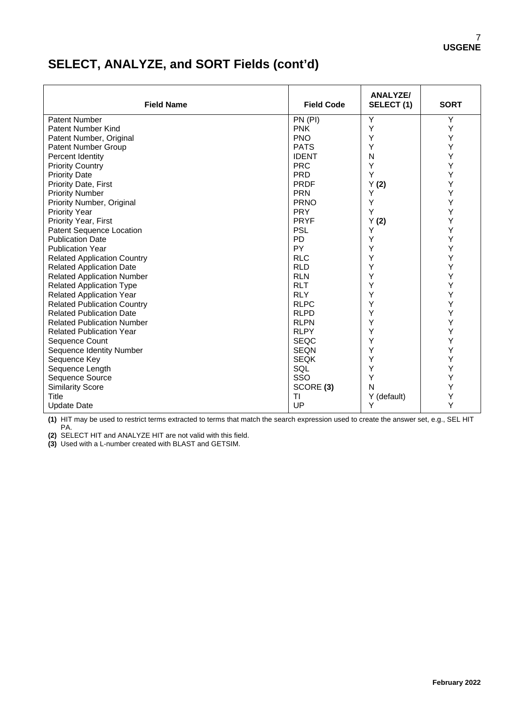# **SELECT, ANALYZE, and SORT Fields (cont'd)**

| <b>Field Name</b>                  | <b>Field Code</b> | <b>ANALYZE/</b><br>SELECT(1) | <b>SORT</b> |
|------------------------------------|-------------------|------------------------------|-------------|
| <b>Patent Number</b>               | PN (PI)           | Y                            | Υ           |
| Patent Number Kind                 | <b>PNK</b>        | Y                            | Υ           |
| Patent Number, Original            | <b>PNO</b>        | Y                            | Υ           |
| Patent Number Group                | <b>PATS</b>       | Y                            | Υ           |
| Percent Identity                   | <b>IDENT</b>      | N                            | Υ           |
| <b>Priority Country</b>            | <b>PRC</b>        | Υ                            | Υ           |
| <b>Priority Date</b>               | <b>PRD</b>        | Υ                            | Υ           |
| Priority Date, First               | <b>PRDF</b>       | Y(2)                         | Υ           |
| <b>Priority Number</b>             | <b>PRN</b>        | Y                            | Υ           |
| Priority Number, Original          | <b>PRNO</b>       | Υ                            | Υ           |
| <b>Priority Year</b>               | <b>PRY</b>        | Υ                            | Υ           |
| Priority Year, First               | <b>PRYF</b>       | Y(2)                         | Υ           |
| Patent Sequence Location           | <b>PSL</b>        | Y                            | Υ           |
| <b>Publication Date</b>            | <b>PD</b>         | Y                            | Υ           |
| <b>Publication Year</b>            | <b>PY</b>         | Y                            | Υ           |
| <b>Related Application Country</b> | <b>RLC</b>        | Υ                            | Υ           |
| <b>Related Application Date</b>    | <b>RLD</b>        | Υ                            | Υ           |
| <b>Related Application Number</b>  | <b>RLN</b>        | Y                            | Υ           |
| <b>Related Application Type</b>    | <b>RLT</b>        | Y                            | Υ           |
| Related Application Year           | <b>RLY</b>        | Υ                            | Υ           |
| <b>Related Publication Country</b> | <b>RLPC</b>       | Υ                            | Υ           |
| <b>Related Publication Date</b>    | <b>RLPD</b>       | Y                            | Υ           |
| <b>Related Publication Number</b>  | <b>RLPN</b>       | Y                            | Y           |
| <b>Related Publication Year</b>    | <b>RLPY</b>       | Υ                            | Υ           |
| Sequence Count                     | <b>SEQC</b>       | Υ                            | Υ           |
| Sequence Identity Number           | <b>SEQN</b>       | Υ                            | Υ           |
| Sequence Key                       | <b>SEQK</b>       | Y                            | Υ           |
| Sequence Length                    | SQL               | Y                            | Υ           |
| Sequence Source                    | SSO               | Υ                            | Υ           |
| <b>Similarity Score</b>            | SCORE (3)         | N                            | Υ           |
| Title                              | ΤI                | Y (default)                  | Υ           |
| <b>Update Date</b>                 | UP                | Υ                            | Y           |

**(1)** HIT may be used to restrict terms extracted to terms that match the search expression used to create the answer set, e.g., SEL HIT PA.

**(2)** SELECT HIT and ANALYZE HIT are not valid with this field.

**(3)** Used with a L-number created with BLAST and GETSIM.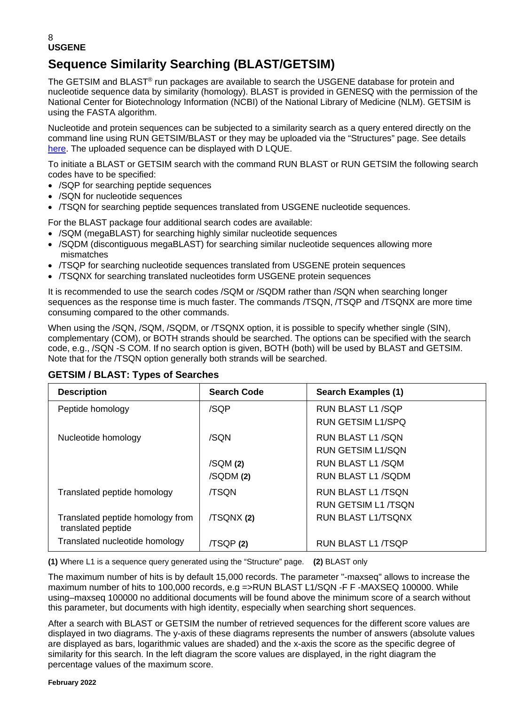# **Sequence Similarity Searching (BLAST/GETSIM)**

The GETSIM and BLAST<sup>®</sup> run packages are available to search the USGENE database for protein and nucleotide sequence data by similarity (homology). BLAST is provided in GENESQ with the permission of the National Center for Biotechnology Information (NCBI) of the National Library of Medicine (NLM). GETSIM is using the FASTA algorithm.

Nucleotide and protein sequences can be subjected to a similarity search as a query entered directly on the command line using RUN GETSIM/BLAST or they may be uploaded via the "Structures" page. See details [here.](https://www.stn.org/help/stnext/#t=Building_the_Query%2FUsing_Biosequences%2FUsing_Biosequences_for_Queries.htm) The uploaded sequence can be displayed with D LQUE.

To initiate a BLAST or GETSIM search with the command RUN BLAST or RUN GETSIM the following search codes have to be specified:

- /SQP for searching peptide sequences
- /SQN for nucleotide sequences
- /TSQN for searching peptide sequences translated from USGENE nucleotide sequences.

For the BLAST package four additional search codes are available:

- /SQM (megaBLAST) for searching highly similar nucleotide sequences
- /SQDM (discontiguous megaBLAST) for searching similar nucleotide sequences allowing more mismatches
- /TSQP for searching nucleotide sequences translated from USGENE protein sequences
- /TSQNX for searching translated nucleotides form USGENE protein sequences

It is recommended to use the search codes /SQM or /SQDM rather than /SQN when searching longer sequences as the response time is much faster. The commands /TSQN, /TSQP and /TSQNX are more time consuming compared to the other commands.

When using the /SQN, /SQM, /SQDM, or /TSQNX option, it is possible to specify whether single (SIN), complementary (COM), or BOTH strands should be searched. The options can be specified with the search code, e.g., /SQN -S COM. If no search option is given, BOTH (both) will be used by BLAST and GETSIM. Note that for the /TSQN option generally both strands will be searched.

| <b>Description</b>                                     | <b>Search Code</b> | Search Examples (1)      |
|--------------------------------------------------------|--------------------|--------------------------|
| Peptide homology                                       | /SQP               | RUN BLAST L1 /SQP        |
|                                                        |                    | RUN GETSIM L1/SPQ        |
| Nucleotide homology                                    | /SQN               | RUN BLAST L1/SQN         |
|                                                        |                    | <b>RUN GETSIM L1/SON</b> |
|                                                        | /SQM(2)            | RUN BLAST L1 /SQM        |
|                                                        | /SQDM (2)          | RUN BLAST L1/SQDM        |
| Translated peptide homology                            | <b>/TSON</b>       | RUN BLAST L1 /TSON       |
|                                                        |                    | RUN GETSIM L1 /TSON      |
| Translated peptide homology from<br>translated peptide | /TSQNX (2)         | RUN BLAST L1/TSONX       |
| Translated nucleotide homology                         | /TSQP(2)           | RUN BLAST L1 /TSQP       |

## **GETSIM / BLAST: Types of Searches**

**(1)** Where L1 is a sequence query generated using the "Structure" page. **(2)** BLAST only

The maximum number of hits is by default 15,000 records. The parameter "-maxseq" allows to increase the maximum number of hits to 100,000 records, e.g =>RUN BLAST L1/SQN -F F -MAXSEQ 100000. While using–maxseq 100000 no additional documents will be found above the minimum score of a search without this parameter, but documents with high identity, especially when searching short sequences.

After a search with BLAST or GETSIM the number of retrieved sequences for the different score values are displayed in two diagrams. The y-axis of these diagrams represents the number of answers (absolute values are displayed as bars, logarithmic values are shaded) and the x-axis the score as the specific degree of similarity for this search. In the left diagram the score values are displayed, in the right diagram the percentage values of the maximum score.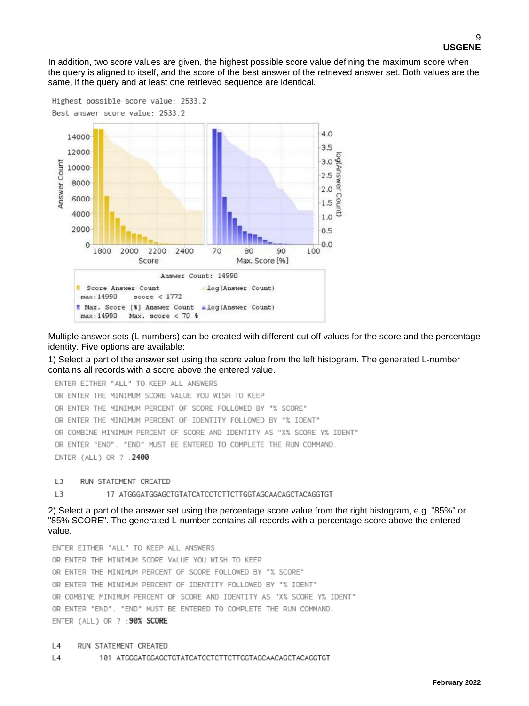In addition, two score values are given, the highest possible score value defining the maximum score when the query is aligned to itself, and the score of the best answer of the retrieved answer set. Both values are the same, if the query and at least one retrieved sequence are identical.



Multiple answer sets (L-numbers) can be created with different cut off values for the score and the percentage identity. Five options are available:

1) Select a part of the answer set using the score value from the left histogram. The generated L-number contains all records with a score above the entered value.

```
ENTER EITHER "ALL" TO KEEP ALL ANSWERS
OR ENTER THE MINIMUM SCORE VALUE YOU WISH TO KEEP
OR ENTER THE MINIMUM PERCENT OF SCORE FOLLOWED BY "% SCORE"
OR ENTER THE MINIMUM PERCENT OF IDENTITY FOLLOWED BY "% IDENT"
OR COMBINE MINIMUM PERCENT OF SCORE AND IDENTITY AS "X% SCORE Y% IDENT"
OR ENTER "END". "END" MUST BE ENTERED TO COMPLETE THE RUN COMMAND.
ENTER (ALL) OR ? : 2400
```
 $\mathsf{L}$ RUN STATEMENT CREATED

L<sub>3</sub> 17 ATGGGATGGAGCTGTATCATCCTCTTCTTGGTAGCAACAGCTACAGGTGT

2) Select a part of the answer set using the percentage score value from the right histogram, e.g. "85%" or "85% SCORE". The generated L-number contains all records with a percentage score above the entered value.

ENTER EITHER "ALL" TO KEEP ALL ANSWERS OR ENTER THE MINIMUM SCORE VALUE YOU WISH TO KEEP OR ENTER THE MINIMUM PERCENT OF SCORE FOLLOWED BY "% SCORE" OR ENTER THE MINIMUM PERCENT OF IDENTITY FOLLOWED BY "% IDENT" OR COMBINE MINIMUM PERCENT OF SCORE AND IDENTITY AS "X% SCORE Y% IDENT" OR ENTER "END". "END" MUST BE ENTERED TO COMPLETE THE RUN COMMAND. ENTER (ALL) OR ? : 90% SCORE

#### $L4$ RUN STATEMENT CREATED

 $L4$ 101 ATGGGATGGAGCTGTATCATCCTCTTCTTGGTAGCAACAGCTACAGGTGT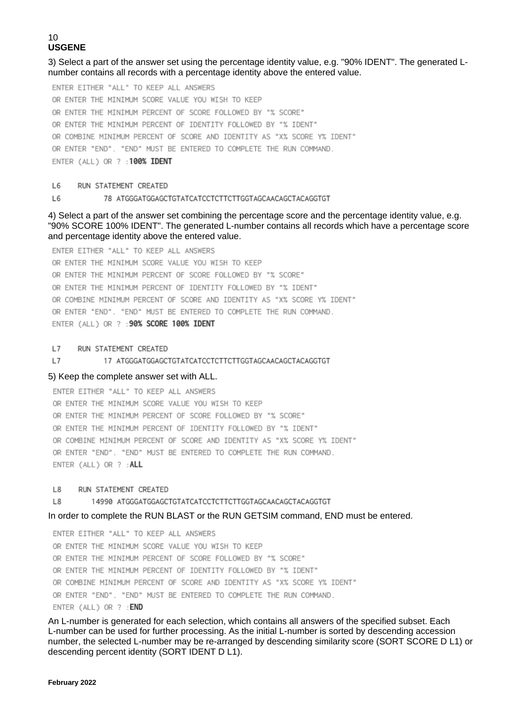3) Select a part of the answer set using the percentage identity value, e.g. "90% IDENT". The generated Lnumber contains all records with a percentage identity above the entered value.

ENTER EITHER "ALL" TO KEEP ALL ANSWERS OR ENTER THE MINIMUM SCORE VALUE YOU WISH TO KEEP OR ENTER THE MINIMUM PERCENT OF SCORE FOLLOWED BY "% SCORE" OR ENTER THE MINIMUM PERCENT OF IDENTITY FOLLOWED BY "% IDENT" OR COMBINE MINIMUM PERCENT OF SCORE AND IDENTITY AS "X% SCORE Y% IDENT" OR ENTER "END". "END" MUST BE ENTERED TO COMPLETE THE RUN COMMAND. ENTER (ALL) OR ? : 100% IDENT

L6 RUN STATEMENT CREATED

#### L6 78 ATGGGATGGAGCTGTATCATCCTCTTCTTGGTAGCAACAGCTACAGGTGT

4) Select a part of the answer set combining the percentage score and the percentage identity value, e.g. "90% SCORE 100% IDENT". The generated L-number contains all records which have a percentage score and percentage identity above the entered value.

ENTER EITHER "ALL" TO KEEP ALL ANSWERS OR ENTER THE MINIMUM SCORE VALUE YOU WISH TO KEEP OR ENTER THE MINIMUM PERCENT OF SCORE FOLLOWED BY "% SCORE" OR ENTER THE MINIMUM PERCENT OF IDENTITY FOLLOWED BY "% IDENT" OR COMBINE MINIMUM PERCENT OF SCORE AND IDENTITY AS "X% SCORE Y% IDENT" OR ENTER "END". "END" MUST BE ENTERED TO COMPLETE THE RUN COMMAND. ENTER (ALL) OR ? : 90% SCORE 100% IDENT

#### $L7$ RUN STATEMENT CREATED

#### $L7$ 17 ATGGGATGGAGCTGTATCATCCTCTTCTTGGTAGCAACAGCTACAGGTGT

#### 5) Keep the complete answer set with ALL.

ENTER EITHER "ALL" TO KEEP ALL ANSWERS OR ENTER THE MINIMUM SCORE VALUE YOU WISH TO KEEP OR ENTER THE MINIMUM PERCENT OF SCORE FOLLOWED BY "% SCORE" OR ENTER THE MINIMUM PERCENT OF IDENTITY FOLLOWED BY "% IDENT" OR COMBINE MINIMUM PERCENT OF SCORE AND IDENTITY AS "X% SCORE Y% IDENT" OR ENTER "END". "END" MUST BE ENTERED TO COMPLETE THE RUN COMMAND. ENTER (ALL) OR ? : ALL

#### L8 RUN STATEMENT CREATED

14990 ATGGGATGGAGCTGTATCATCCTCTTCTTGGTAGCAACAGCTACAGGTGT L8

#### In order to complete the RUN BLAST or the RUN GETSIM command, END must be entered.

ENTER EITHER "ALL" TO KEEP ALL ANSWERS OR ENTER THE MINIMUM SCORE VALUE YOU WISH TO KEEP OR ENTER THE MINIMUM PERCENT OF SCORE FOLLOWED BY "% SCORE" OR ENTER THE MINIMUM PERCENT OF IDENTITY FOLLOWED BY "% IDENT" OR COMBINE MINIMUM PERCENT OF SCORE AND IDENTITY AS "X% SCORE Y% IDENT" OR ENTER "END". "END" MUST BE ENTERED TO COMPLETE THE RUN COMMAND. ENTER (ALL) OR ? : END

An L-number is generated for each selection, which contains all answers of the specified subset. Each L-number can be used for further processing. As the initial L-number is sorted by descending accession number, the selected L-number may be re-arranged by descending similarity score (SORT SCORE D L1) or descending percent identity (SORT IDENT D L1).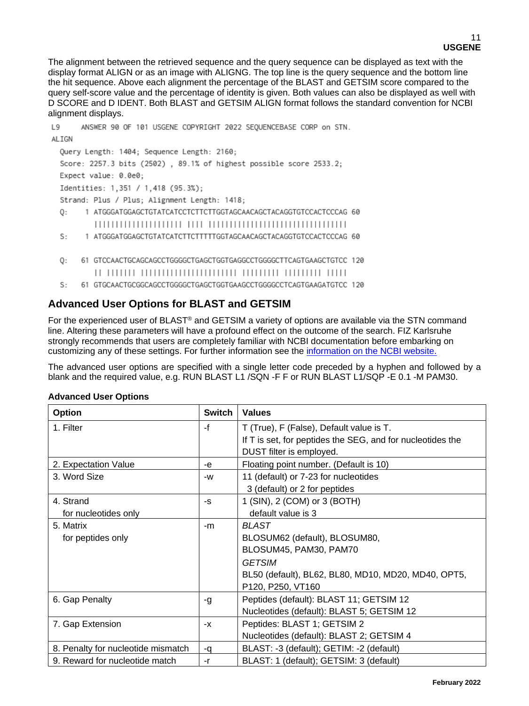The alignment between the retrieved sequence and the query sequence can be displayed as text with the display format ALIGN or as an image with ALIGNG. The top line is the query sequence and the bottom line the hit sequence. Above each alignment the percentage of the BLAST and GETSIM score compared to the query self-score value and the percentage of identity is given. Both values can also be displayed as well with D SCORE and D IDENT. Both BLAST and GETSIM ALIGN format follows the standard convention for NCBI alignment displays.

```
L9
      ANSWER 90 OF 101 USGENE COPYRIGHT 2022 SEQUENCEBASE CORP on STN.
ALIGN
 Query Length: 1404; Sequence Length: 2160;
 Score: 2257.3 bits (2502), 89.1% of highest possible score 2533.2;
 Expect value: 0.0e0;
 Identities: 1,351 / 1,418 (95.3%);
 Strand: Plus / Plus; Alignment Length: 1418;
       1 ATGGGATGGAGCTGTATCATCCTCTTCTTGGTAGCAACAGCTACAGGTGTCCACTCCCAG 60
 0:
         1 ATGGGATGGAGCTGTATCATCTTCTTTTTGGTAGCAACAGCTACAGGTGTCCACTCCCAG 60
 S:
      61 GTCCAACTGCAGCAGCCTGGGGCTGAGCTGGTGAGGCCTGGGGCTTCAGTGAAGCTGTCC 120
 0:
```
S: 61 GTGCAACTGCGGCAGCCTGGGGCTGAGCTGGTGAAGCCTGGGGCCTCAGTGAAGATGTCC 120

## **Advanced User Options for BLAST and GETSIM**

For the experienced user of BLAST® and GETSIM a variety of options are available via the STN command line. Altering these parameters will have a profound effect on the outcome of the search. FIZ Karlsruhe strongly recommends that users are completely familiar with NCBI documentation before embarking on customizing any of these settings. For further information see the [information on the NCBI website.](http://blast.ncbi.nlm.nih.gov/Blast.cgi?CMD=Web&PAGE_TYPE=BlastDocs)

The advanced user options are specified with a single letter code preceded by a hyphen and followed by a blank and the required value, e.g. RUN BLAST L1 /SQN -F F or RUN BLAST L1/SQP -E 0.1 -M PAM30.

| Option                             | <b>Switch</b> | <b>Values</b>                                              |
|------------------------------------|---------------|------------------------------------------------------------|
| 1. Filter                          | -f            | T (True), F (False), Default value is T.                   |
|                                    |               | If T is set, for peptides the SEG, and for nucleotides the |
|                                    |               | DUST filter is employed.                                   |
| 2. Expectation Value               | -e            | Floating point number. (Default is 10)                     |
| 3. Word Size                       | -w            | 11 (default) or 7-23 for nucleotides                       |
|                                    |               | 3 (default) or 2 for peptides                              |
| 4. Strand                          | -S            | 1 (SIN), 2 (COM) or 3 (BOTH)                               |
| for nucleotides only               |               | default value is 3                                         |
| 5. Matrix                          | -m            | <b>BLAST</b>                                               |
| for peptides only                  |               | BLOSUM62 (default), BLOSUM80,                              |
|                                    |               | BLOSUM45, PAM30, PAM70                                     |
|                                    |               | <b>GETSIM</b>                                              |
|                                    |               | BL50 (default), BL62, BL80, MD10, MD20, MD40, OPT5,        |
|                                    |               | P120, P250, VT160                                          |
| 6. Gap Penalty                     | -g            | Peptides (default): BLAST 11; GETSIM 12                    |
|                                    |               | Nucleotides (default): BLAST 5; GETSIM 12                  |
| 7. Gap Extension                   | -х            | Peptides: BLAST 1; GETSIM 2                                |
|                                    |               | Nucleotides (default): BLAST 2; GETSIM 4                   |
| 8. Penalty for nucleotide mismatch | -q            | BLAST: -3 (default); GETIM: -2 (default)                   |
| 9. Reward for nucleotide match     | -r            | BLAST: 1 (default); GETSIM: 3 (default)                    |

## **Advanced User Options**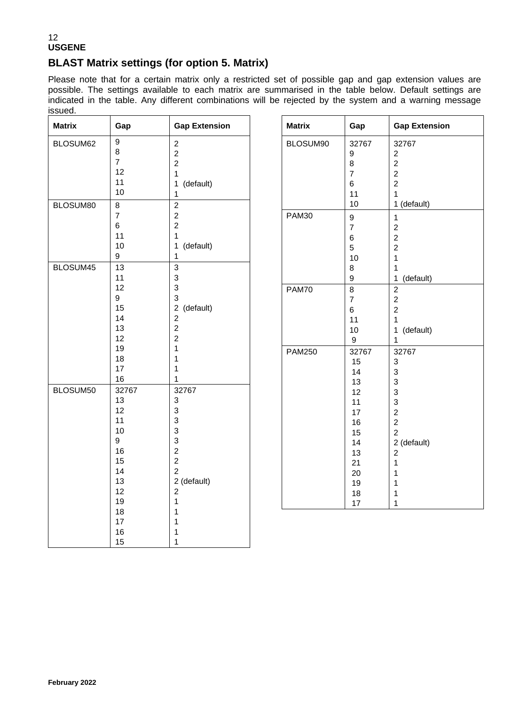## **BLAST Matrix settings (for option 5. Matrix)**

Please note that for a certain matrix only a restricted set of possible gap and gap extension values are possible. The settings available to each matrix are summarised in the table below. Default settings are indicated in the table. Any different combinations will be rejected by the system and a warning message issued.

**Gap Extension** 

1 (default)

1 (default)

1 (default)

2 (default)

| <b>Matrix</b>        | Gap                                                                                            | <b>Gap Extension</b>                                                                                                                             | <b>Matrix</b>                 | Gap                                                                                        |
|----------------------|------------------------------------------------------------------------------------------------|--------------------------------------------------------------------------------------------------------------------------------------------------|-------------------------------|--------------------------------------------------------------------------------------------|
| BLOSUM62             | $\boldsymbol{9}$<br>8<br>$\overline{7}$<br>12<br>11<br>10                                      | $\boldsymbol{2}$<br>$\overline{c}$<br>$\overline{c}$<br>$\overline{1}$<br>(default)<br>1<br>$\mathbf{1}$                                         | BLOSUM90                      | 32767<br>9<br>8<br>$\overline{7}$<br>6<br>11                                               |
| BLOSUM80<br>BLOSUM45 | $\bf8$<br>$\overline{7}$<br>6<br>11<br>10<br>9<br>13<br>11                                     | $\overline{2}$<br>$\overline{c}$<br>$\overline{c}$<br>$\overline{1}$<br>1<br>(default)<br>1<br>$\overline{3}$<br>3                               | <b>PAM30</b>                  | 10<br>9<br>$\overline{7}$<br>6<br>5<br>10<br>8<br>9                                        |
|                      | 12<br>9<br>15<br>14<br>13<br>12<br>19<br>18<br>17<br>16                                        | $\mathsf 3$<br>3<br>(default)<br>$\overline{2}$<br>$\overline{c}$<br>$\overline{c}$<br>$\overline{2}$<br>$\mathbf{1}$<br>1<br>1<br>1             | <b>PAM70</b><br><b>PAM250</b> | $\overline{8}$<br>$\overline{7}$<br>6<br>11<br>10<br>$\boldsymbol{9}$<br>32767<br>15<br>14 |
| BLOSUM50             | 32767<br>13<br>12<br>11<br>10<br>9<br>16<br>15<br>14<br>13<br>12<br>19<br>18<br>17<br>16<br>15 | 32767<br>3<br>3<br>3<br>3<br>3<br>$\overline{c}$<br>$\boldsymbol{2}$<br>$\overline{c}$<br>2 (default)<br>$\overline{c}$<br>1<br>1<br>1<br>1<br>1 |                               | 13<br>12<br>11<br>17<br>16<br>15<br>14<br>13<br>21<br>20<br>19<br>18<br>17                 |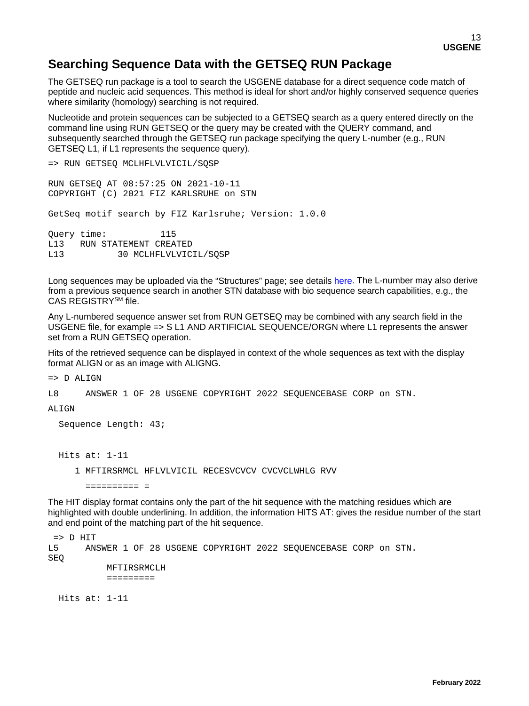## **Searching Sequence Data with the GETSEQ RUN Package**

The GETSEQ run package is a tool to search the USGENE database for a direct sequence code match of peptide and nucleic acid sequences. This method is ideal for short and/or highly conserved sequence queries where similarity (homology) searching is not required.

Nucleotide and protein sequences can be subjected to a GETSEQ search as a query entered directly on the command line using RUN GETSEQ or the query may be created with the QUERY command, and subsequently searched through the GETSEQ run package specifying the query L-number (e.g., RUN GETSEQ L1, if L1 represents the sequence query).

```
=> RUN GETSEQ MCLHFLVLVICIL/SQSP
RUN GETSEQ AT 08:57:25 ON 2021-10-11
COPYRIGHT (C) 2021 FIZ KARLSRUHE on STN
GetSeq motif search by FIZ Karlsruhe; Version: 1.0.0
Query time: 115<br>L13 RUN STATEMENT CREA
L13 RUN STATEMENT CREATED<br>L13 30 MCLHFLVLVIC
              30 MCLHFLVLVICIL/SOSP
```
Long sequences may be uploaded via the "Structures" page; see details [here.](https://www.stn.org/help/stnext/#t=Building_the_Query%2FUsing_Biosequences%2FUsing_Biosequences_for_Queries.htm) The L-number may also derive from a previous sequence search in another STN database with bio sequence search capabilities, e.g., the CAS REGISTRYSM file.

Any L-numbered sequence answer set from RUN GETSEQ may be combined with any search field in the USGENE file, for example => S L1 AND ARTIFICIAL SEQUENCE/ORGN where L1 represents the answer set from a RUN GETSEQ operation.

Hits of the retrieved sequence can be displayed in context of the whole sequences as text with the display format ALIGN or as an image with ALIGNG.

=> D ALIGN

L8 ANSWER 1 OF 28 USGENE COPYRIGHT 2022 SEQUENCEBASE CORP on STN.

#### ALIGN

```
 Sequence Length: 43;
 Hits at: 1-11
```
1 MFTIRSRMCL HFLVLVICIL RECESVCVCV CVCVCLWHLG RVV

========== =

The HIT display format contains only the part of the hit sequence with the matching residues which are highlighted with double underlining. In addition, the information HITS AT: gives the residue number of the start and end point of the matching part of the hit sequence.

```
= D HIT<br>L5 AN
        L5 ANSWER 1 OF 28 USGENE COPYRIGHT 2022 SEQUENCEBASE CORP on STN. 
SEQ
             MFTIRSRMCLH 
             =========
```
Hits at: 1-11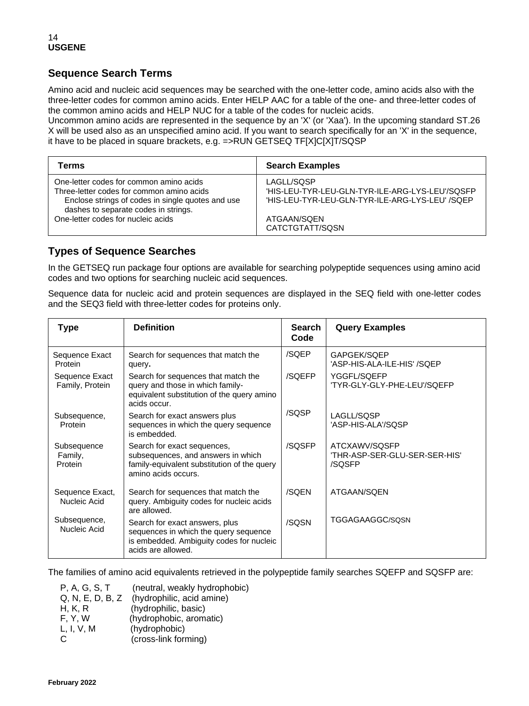## **Sequence Search Terms**

Amino acid and nucleic acid sequences may be searched with the one-letter code, amino acids also with the three-letter codes for common amino acids. Enter HELP AAC for a table of the one- and three-letter codes of the common amino acids and HELP NUC for a table of the codes for nucleic acids.

Uncommon amino acids are represented in the sequence by an 'X' (or 'Xaa'). In the upcoming standard ST.26 X will be used also as an unspecified amino acid. If you want to search specifically for an 'X' in the sequence, it have to be placed in square brackets, e.g. =>RUN GETSEQ TF[X]C[X]T/SQSP

| Terms                                             | <b>Search Examples</b>                          |
|---------------------------------------------------|-------------------------------------------------|
| One-letter codes for common amino acids           | LAGLL/SQSP                                      |
| Three-letter codes for common amino acids         | 'HIS-LEU-TYR-LEU-GLN-TYR-ILE-ARG-LYS-LEU'/SQSFP |
| Enclose strings of codes in single quotes and use | 'HIS-LEU-TYR-LEU-GLN-TYR-ILE-ARG-LYS-LEU' /SQEP |
| dashes to separate codes in strings.              | ATGAAN/SQEN                                     |
| One-letter codes for nucleic acids                | CATCTGTATT/SQSN                                 |

## **Types of Sequence Searches**

In the GETSEQ run package four options are available for searching polypeptide sequences using amino acid codes and two options for searching nucleic acid sequences.

Sequence data for nucleic acid and protein sequences are displayed in the SEQ field with one-letter codes and the SEQ3 field with three-letter codes for proteins only.

| <b>Type</b>                       | <b>Definition</b>                                                                                                                         | <b>Search</b><br>Code | <b>Query Examples</b>                                    |
|-----------------------------------|-------------------------------------------------------------------------------------------------------------------------------------------|-----------------------|----------------------------------------------------------|
| Sequence Exact<br>Protein         | Search for sequences that match the<br>query.                                                                                             | /SQEP                 | GAPGEK/SQEP<br>'ASP-HIS-ALA-ILE-HIS' /SQEP               |
| Sequence Exact<br>Family, Protein | Search for sequences that match the<br>query and those in which family-<br>equivalent substitution of the query amino<br>acids occur.     | /SQEFP                | YGGFL/SQEFP<br>'TYR-GLY-GLY-PHE-LEU'/SQEFP               |
| Subsequence,<br>Protein           | Search for exact answers plus<br>sequences in which the query sequence<br>is embedded.                                                    | /SQSP                 | LAGLL/SQSP<br>'ASP-HIS-ALA'/SQSP                         |
| Subsequence<br>Family,<br>Protein | Search for exact sequences,<br>subsequences, and answers in which<br>family-equivalent substitution of the query<br>amino acids occurs.   | /SQSFP                | ATCXAWV/SQSFP<br>'THR-ASP-SER-GLU-SER-SER-HIS'<br>/SQSFP |
| Sequence Exact,<br>Nucleic Acid   | Search for sequences that match the<br>query. Ambiguity codes for nucleic acids<br>are allowed.                                           | /SQEN                 | ATGAAN/SQEN                                              |
| Subsequence,<br>Nucleic Acid      | Search for exact answers, plus<br>sequences in which the query sequence<br>is embedded. Ambiguity codes for nucleic<br>acids are allowed. | /SQSN                 | TGGAGAAGGC/SQSN                                          |

The families of amino acid equivalents retrieved in the polypeptide family searches SQEFP and SQSFP are:

| P, A, G, S, T    | (neutral, weakly hydrophobic) |
|------------------|-------------------------------|
| Q, N, E, D, B, Z | (hydrophilic, acid amine)     |
| H, K, R          | (hydrophilic, basic)          |
| F, Y, W          | (hydrophobic, aromatic)       |
| L, I, V, M       | (hydrophobic)                 |
| C.               | (cross-link forming)          |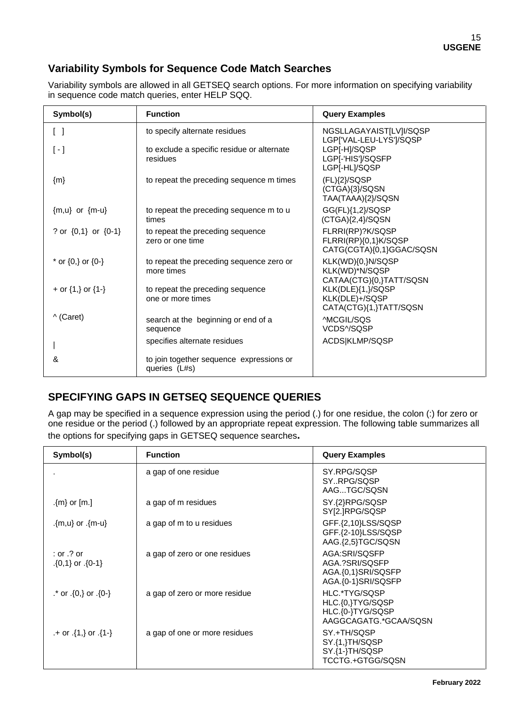## **Variability Symbols for Sequence Code Match Searches**

Variability symbols are allowed in all GETSEQ search options. For more information on specifying variability in sequence code match queries, enter HELP SQQ.

| Symbol(s)                                        | <b>Function</b>                                           | <b>Query Examples</b>                                                |
|--------------------------------------------------|-----------------------------------------------------------|----------------------------------------------------------------------|
| $\begin{bmatrix} \end{bmatrix}$                  | to specify alternate residues                             | NGSLLAGAYAIST[LV]I/SQSP<br>LGP['VAL-LEU-LYS']/SQSP                   |
| $\left[ \begin{array}{c} -1 \end{array} \right]$ | to exclude a specific residue or alternate<br>residues    | LGP[-H]/SQSP<br>LGP[-'HIS']/SQSFP<br>LGP[-HL]/SQSP                   |
| ${m}$                                            | to repeat the preceding sequence m times                  | $(FL)$ {2}/SQSP<br>(CTGA){3}/SQSN<br>TAA(TAAA){2}/SQSN               |
| ${m,u}$ or ${m-u}$                               | to repeat the preceding sequence m to u<br>times          | GG(FL){1,2}/SQSP<br>$(CTGA){2,4}/SQSN$                               |
| ? or {0,1} or {0-1}                              | to repeat the preceding sequence<br>zero or one time      | FLRRI(RP)?K/SQSP<br>FLRRI(RP){0,1}K/SQSP<br>CATG(CGTA){0,1}GGAC/SQSN |
| * or $\{0,\}$ or $\{0-\}$                        | to repeat the preceding sequence zero or<br>more times    | KLK(WD){0,}N/SQSP<br>KLK(WD)*N/SQSP<br>CATAA(CTG){0,}TATT/SQSN       |
| + or $\{1, \}$ or $\{1-\}$                       | to repeat the preceding sequence<br>one or more times     | KLK(DLE){1,}/SQSP<br>KLK(DLE)+/SQSP<br>CATA(CTG){1,}TATT/SQSN        |
| $\wedge$ (Caret)                                 | search at the beginning or end of a<br>sequence           | AMCGIL/SOS<br>VCDS^/SQSP                                             |
|                                                  | specifies alternate residues                              | ACDS KLMP/SQSP                                                       |
| &                                                | to join together sequence expressions or<br>queries (L#s) |                                                                      |

## **SPECIFYING GAPS IN GETSEQ SEQUENCE QUERIES**

A gap may be specified in a sequence expression using the period (.) for one residue, the colon (:) for zero or one residue or the period (.) followed by an appropriate repeat expression. The following table summarizes all the options for specifying gaps in GETSEQ sequence searches**.**

| Symbol(s)                                 | <b>Function</b>               | <b>Query Examples</b>                                                          |
|-------------------------------------------|-------------------------------|--------------------------------------------------------------------------------|
|                                           | a gap of one residue          | SY.RPG/SQSP<br>SYRPG/SQSP<br>AAGTGC/SQSN                                       |
| .{m} or $[m.]$                            | a gap of m residues           | SY.{2}RPG/SQSP<br>SY[2.]RPG/SQSP                                               |
| {m-u} or .{m-u}}                          | a gap of m to u residues      | GFF.{2,10}LSS/SQSP<br>GFF.{2-10}LSS/SQSP<br>AAG.{2,5}TGC/SQSN                  |
| $:$ or $.$ ? or<br>$\{0,1\}$ or $\{0-1\}$ | a gap of zero or one residues | AGA:SRI/SOSFP<br>AGA.?SRI/SQSFP<br>AGA.{0,1}SRI/SQSFP<br>AGA.{0-1}SRI/SQSFP    |
| $\cdot$ or $\{0\}$ or $\{0\}$ .           | a gap of zero or more residue | HLC.*TYG/SQSP<br>HLC.{0,}TYG/SQSP<br>HLC.{0-}TYG/SQSP<br>AAGGCAGATG.*GCAA/SQSN |
| $+$ or $\{1, \}$ or $\{1 - \}$            | a gap of one or more residues | SY.+TH/SQSP<br>SY.{1,}TH/SQSP<br>SY.{1-}TH/SQSP<br>TCCTG.+GTGG/SQSN            |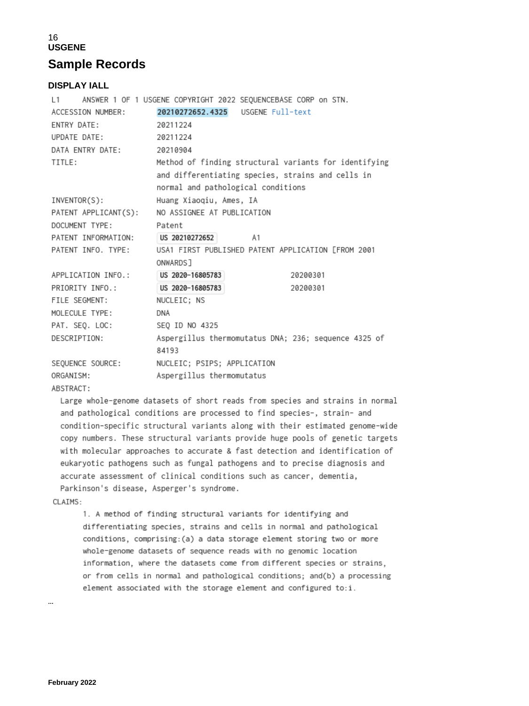## 16 **USGENE Sample Records**

### **DISPLAY IALL**

| $\mathsf{L1}$                      | ANSWER 1 OF 1 USGENE COPYRIGHT 2022 SEQUENCEBASE CORP on STN. |
|------------------------------------|---------------------------------------------------------------|
| ACCESSION NUMBER:                  |                                                               |
| ENTRY DATE:                        | 20211224                                                      |
| UPDATE DATE:                       | 20211224                                                      |
| DATA ENTRY DATE:                   | 20210904                                                      |
| TITLE:                             | Method of finding structural variants for identifying         |
|                                    | and differentiating species, strains and cells in             |
|                                    | normal and pathological conditions                            |
| INVENTOR(S):                       | Huang Xiaoqiu, Ames, IA                                       |
|                                    | PATENT APPLICANT(S): NO ASSIGNEE AT PUBLICATION               |
| DOCUMENT TYPE:                     | Patent                                                        |
| PATENT INFORMATION: US 20210272652 | A1                                                            |
| PATENT INFO. TYPE:                 | USA1 FIRST PUBLISHED PATENT APPLICATION [FROM 2001            |
|                                    | ONWARDS <sub>1</sub>                                          |
| APPLICATION INFO.:                 | US 2020-16805783<br>20200301                                  |
| PRIORITY INFO.:                    | US 2020-16805783<br>20200301                                  |
| FILE SEGMENT:                      | NUCLEIC; NS                                                   |
| MOLECULE TYPE:                     | DNA                                                           |
| PAT. SEQ. LOC:                     | SEO ID NO 4325                                                |
| DESCRIPTION:                       | Aspergillus thermomutatus DNA; 236; sequence 4325 of<br>84193 |
| SEOUENCE SOURCE:                   | NUCLEIC; PSIPS; APPLICATION                                   |
| ORGANISM:                          | Aspergillus thermomutatus                                     |
|                                    |                                                               |

ABSTRACT:

Large whole-genome datasets of short reads from species and strains in normal and pathological conditions are processed to find species-, strain- and condition-specific structural variants along with their estimated genome-wide copy numbers. These structural variants provide huge pools of genetic targets with molecular approaches to accurate & fast detection and identification of eukaryotic pathogens such as fungal pathogens and to precise diagnosis and accurate assessment of clinical conditions such as cancer, dementia, Parkinson's disease, Asperger's syndrome.

#### CLAIMS:

1. A method of finding structural variants for identifying and differentiating species, strains and cells in normal and pathological conditions, comprising: (a) a data storage element storing two or more whole-genome datasets of sequence reads with no genomic location information, where the datasets come from different species or strains, or from cells in normal and pathological conditions; and(b) a processing element associated with the storage element and configured to:i.

…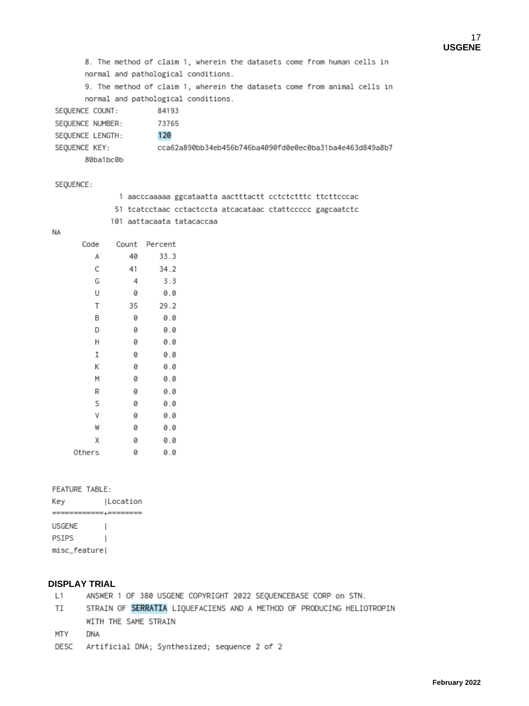```
8. The method of claim 1, wherein the datasets come from human cells in
       normal and pathological conditions.
       9. The method of claim 1, wherein the datasets come from animal cells in
       normal and pathological conditions.
SEQUENCE COUNT:
                       84193
SEQUENCE NUMBER:
                       73765
                        120
SEQUENCE LENGTH:
                        cca62a890bb34eb456b746ba4090fd0e0ec0ba31ba4e463d849a8b7
SEQUENCE KEY:
       80ba1bc0b
```
SEQUENCE:

| 1 aacccaaaaa ggcataatta aactttactt cctctctttc ttcttcccac  |  |  |
|-----------------------------------------------------------|--|--|
| 51 tcatcctaac cctactccta atcacataac ctattccccc gagcaatctc |  |  |
| 101 aattacaata tatacaccaa                                 |  |  |

**NA** 

| Code   | Count | Percent |
|--------|-------|---------|
| А      | 40    | 33.3    |
| С      | 41    | 34.2    |
| G      | 4     | 3.3     |
| U      | 0     | 0.0     |
| Τ      | 35    | 29.2    |
| В      | 0     | 0.0     |
| D      | 0     | 0.0     |
| Η      | 0     | 0.0     |
| Ι      | 0     | 0.0     |
| Κ      | 0     | 0.0     |
| M      | 0     | 0.0     |
| R      | 0     | 0.0     |
| S      | 0     | 0.0     |
| ٧      | 0     | 0.0     |
| W      | 0     | 0.0     |
| χ      | 0     | 0.0     |
| Others | 0     | 0.0     |

#### FEATURE TABLE:

Key |Location ============+======== USGENE  $\overline{\phantom{a}}$ PSIPS  $\overline{\phantom{a}}$ misc\_feature|

## **DISPLAY TRIAL**

| L1  | ANSWER 1 OF 380 USGENE COPYRIGHT 2022 SEQUENCEBASE CORP on STN.       |
|-----|-----------------------------------------------------------------------|
| TI  | STRAIN OF SERRATIA LIQUEFACIENS AND A METHOD OF PRODUCING HELIOTROPIN |
|     | WITH THE SAME STRAIN                                                  |
| MTY | <b>DNA</b>                                                            |
|     | DESC Artificial DNA; Synthesized; sequence 2 of 2                     |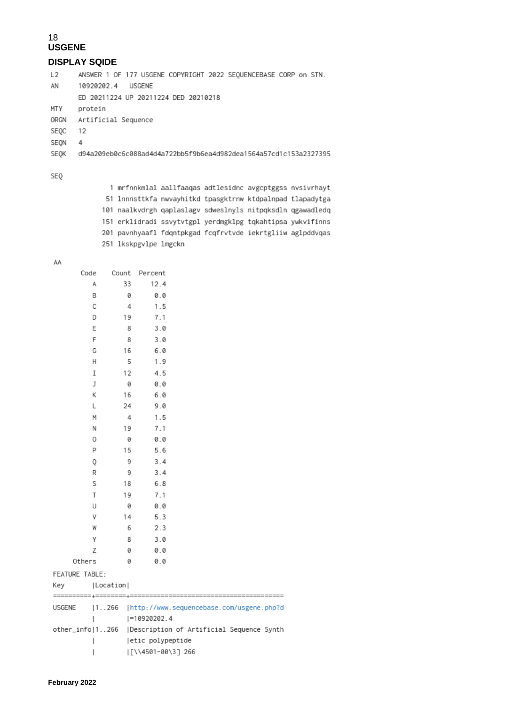## 18 **USGENE DISPLAY SQIDE**

 $L2$ ANSWER 1 OF 177 USGENE COPYRIGHT 2022 SEQUENCEBASE CORP on STN. AN 10920202.4 USGENE ED 20211224 UP 20211224 DED 20210218 protein MTY ORGN Artificial Sequence SEQC 12 SEQN  $\overline{4}$ d94a209eb0c6c088ad4d4a722bb5f9b6ea4d982dea1564a57cd1c153a2327395 SEQK

### SEQ

1 mrfnnkmlal aallfaaqas adtlesidnc avgcptggss nvsivrhayt 51 lnnnsttkfa nwvayhitkd tpasgktrnw ktdpalnpad tlapadytga 101 naalkvdrgh qaplaslagv sdweslnyls nitpqksdln qgawadledq 151 erklidradi ssvytvtgpl yerdmgklpg tqkahtipsa ywkvifinns 201 pavnhyaafl fdqntpkgad fcqfrvtvde iekrtgliiw aglpddvqas 251 lkskpgvlpe lmgckn

AA

|        | Code           | Count         | Percent           |                                                           |  |
|--------|----------------|---------------|-------------------|-----------------------------------------------------------|--|
|        | А              | 33            | 12.4              |                                                           |  |
|        | В              | 0             | 0.0               |                                                           |  |
|        | С              | 4             | 1.5               |                                                           |  |
|        | D              | 19            | 7.1               |                                                           |  |
|        | E              | 8             | 3.0               |                                                           |  |
|        | F              | 8             | 3.0               |                                                           |  |
|        | G              | 16            | 6.0               |                                                           |  |
|        | Η              | 5             | 1.9               |                                                           |  |
|        | Ι              | 12            | 4.5               |                                                           |  |
|        | J              | 0             | 0.0               |                                                           |  |
|        | Κ              | 16            | 6.0               |                                                           |  |
|        | L              | 24            | 9.0               |                                                           |  |
|        | М              | 4             | 1.5               |                                                           |  |
|        | Ν              | 19            | 7.1               |                                                           |  |
|        | 0              | 0             | 0.0               |                                                           |  |
|        | P              | 15            | 5.6               |                                                           |  |
|        | 0              | 9             | 3.4               |                                                           |  |
|        | R              | 9             | 3.4               |                                                           |  |
|        | S              | 18            | 6.8               |                                                           |  |
|        | Т              | 19            | 7.1               |                                                           |  |
|        | U              | 0             | 0.0               |                                                           |  |
|        | ٧              | 14            | 5.3               |                                                           |  |
|        | W              | 6             | 2.3               |                                                           |  |
|        | Υ              | 8             | 3.0               |                                                           |  |
|        | Z              | 0             | 0.0               |                                                           |  |
|        | Others         | 0             | 0.0               |                                                           |  |
|        | FEATURE TABLE: |               |                   |                                                           |  |
| Key    |                | Location      |                   |                                                           |  |
| USGENE |                | ======+====== |                   | 1266   http://www.sequencebase.com/usgene.php?d           |  |
|        | I              |               | $ -10920202.4$    |                                                           |  |
|        |                |               |                   | other_info 1266  Description of Artificial Sequence Synth |  |
|        |                |               | etic polypeptide  |                                                           |  |
|        |                |               | [\\4501-00\3] 266 |                                                           |  |